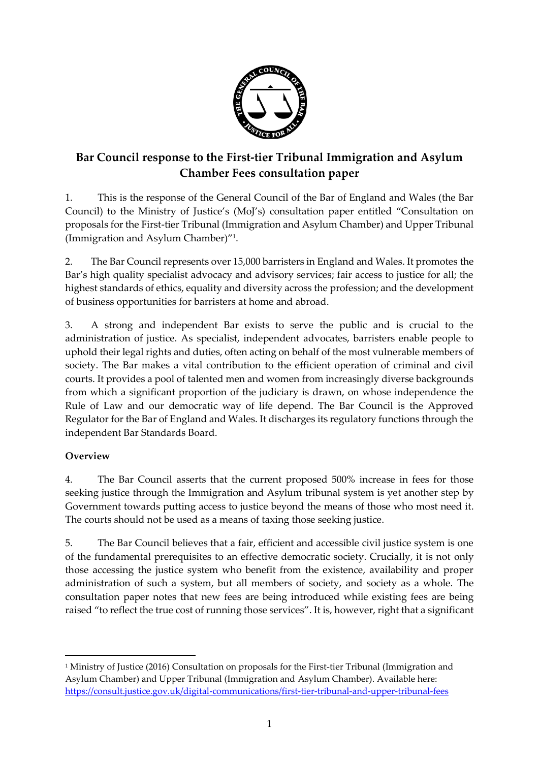

# **Bar Council response to the First-tier Tribunal Immigration and Asylum Chamber Fees consultation paper**

1. This is the response of the General Council of the Bar of England and Wales (the Bar Council) to the Ministry of Justice's (MoJ's) consultation paper entitled "Consultation on proposals for the First-tier Tribunal (Immigration and Asylum Chamber) and Upper Tribunal (Immigration and Asylum Chamber)" 1 .

2. The Bar Council represents over 15,000 barristers in England and Wales. It promotes the Bar's high quality specialist advocacy and advisory services; fair access to justice for all; the highest standards of ethics, equality and diversity across the profession; and the development of business opportunities for barristers at home and abroad.

3. A strong and independent Bar exists to serve the public and is crucial to the administration of justice. As specialist, independent advocates, barristers enable people to uphold their legal rights and duties, often acting on behalf of the most vulnerable members of society. The Bar makes a vital contribution to the efficient operation of criminal and civil courts. It provides a pool of talented men and women from increasingly diverse backgrounds from which a significant proportion of the judiciary is drawn, on whose independence the Rule of Law and our democratic way of life depend. The Bar Council is the Approved Regulator for the Bar of England and Wales. It discharges its regulatory functions through the independent Bar Standards Board.

# **Overview**

 $\overline{a}$ 

<span id="page-0-0"></span>4. The Bar Council asserts that the current proposed 500% increase in fees for those seeking justice through the Immigration and Asylum tribunal system is yet another step by Government towards putting access to justice beyond the means of those who most need it. The courts should not be used as a means of taxing those seeking justice.

5. The Bar Council believes that a fair, efficient and accessible civil justice system is one of the fundamental prerequisites to an effective democratic society. Crucially, it is not only those accessing the justice system who benefit from the existence, availability and proper administration of such a system, but all members of society, and society as a whole. The consultation paper notes that new fees are being introduced while existing fees are being raised "to reflect the true cost of running those services". It is, however, right that a significant

<sup>&</sup>lt;sup>1</sup> Ministry of Justice (2016) Consultation on proposals for the First-tier Tribunal (Immigration and Asylum Chamber) and Upper Tribunal (Immigration and Asylum Chamber). Available here: <https://consult.justice.gov.uk/digital-communications/first-tier-tribunal-and-upper-tribunal-fees>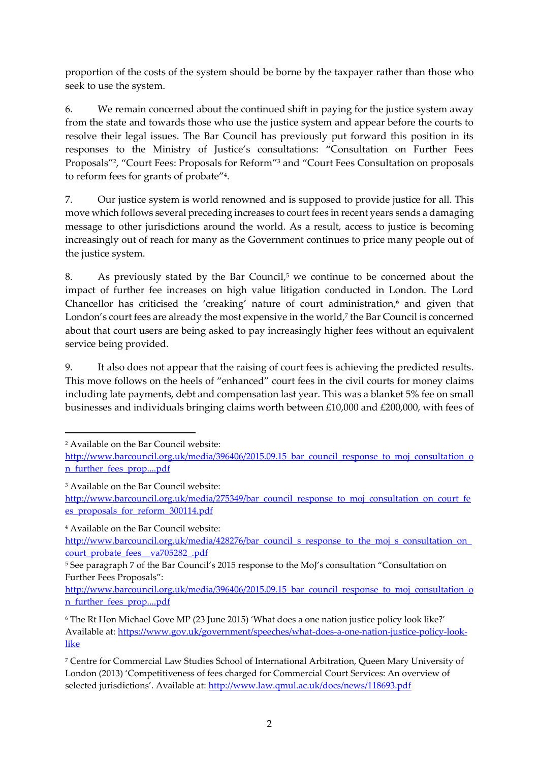proportion of the costs of the system should be borne by the taxpayer rather than those who seek to use the system.

6. We remain concerned about the continued shift in paying for the justice system away from the state and towards those who use the justice system and appear before the courts to resolve their legal issues. The Bar Council has previously put forward this position in its responses to the Ministry of Justice's consultations: "Consultation on Further Fees Proposals"<sup>2</sup> , "Court Fees: Proposals for Reform"<sup>3</sup> and "Court Fees Consultation on proposals to reform fees for grants of probate"<sup>4</sup> .

7. Our justice system is world renowned and is supposed to provide justice for all. This move which follows several preceding increases to court fees in recent years sends a damaging message to other jurisdictions around the world. As a result, access to justice is becoming increasingly out of reach for many as the Government continues to price many people out of the justice system.

8. As previously stated by the Bar Council,<sup>5</sup> we continue to be concerned about the impact of further fee increases on high value litigation conducted in London. The Lord Chancellor has criticised the 'creaking' nature of court administration,<sup>6</sup> and given that London's court fees are already the most expensive in the world,<sup>7</sup> the Bar Council is concerned about that court users are being asked to pay increasingly higher fees without an equivalent service being provided.

9. It also does not appear that the raising of court fees is achieving the predicted results. This move follows on the heels of "enhanced" court fees in the civil courts for money claims including late payments, debt and compensation last year. This was a blanket 5% fee on small businesses and individuals bringing claims worth between £10,000 and £200,000, with fees of

 $\overline{a}$ 

<sup>4</sup> Available on the Bar Council website:

[http://www.barcouncil.org.uk/media/396406/2015.09.15\\_bar\\_council\\_response\\_to\\_moj\\_consultation\\_o](http://www.barcouncil.org.uk/media/396406/2015.09.15_bar_council_response_to_moj_consultation_on_further_fees_prop....pdf) [n\\_further\\_fees\\_prop....pdf](http://www.barcouncil.org.uk/media/396406/2015.09.15_bar_council_response_to_moj_consultation_on_further_fees_prop....pdf)

<sup>2</sup> Available on the Bar Council website:

http://www.barcouncil.org.uk/media/396406/2015.09.15 bar\_council\_response\_to\_moj\_consultation\_o [n\\_further\\_fees\\_prop....pdf](http://www.barcouncil.org.uk/media/396406/2015.09.15_bar_council_response_to_moj_consultation_on_further_fees_prop....pdf)

<sup>3</sup> Available on the Bar Council website:

[http://www.barcouncil.org.uk/media/275349/bar\\_council\\_response\\_to\\_moj\\_consultation\\_on\\_court\\_fe](http://www.barcouncil.org.uk/media/275349/bar_council_response_to_moj_consultation_on_court_fees_proposals_for_reform_300114.pdf) [es\\_proposals\\_for\\_reform\\_300114.pdf](http://www.barcouncil.org.uk/media/275349/bar_council_response_to_moj_consultation_on_court_fees_proposals_for_reform_300114.pdf)

http://www.barcouncil.org.uk/media/428276/bar\_council\_s\_response\_to\_the\_moj\_s\_consultation\_on [court\\_probate\\_fees\\_\\_va705282\\_.pdf](http://www.barcouncil.org.uk/media/428276/bar_council_s_response_to_the_moj_s_consultation_on_court_probate_fees__va705282_.pdf)

<sup>&</sup>lt;sup>5</sup> See paragraph 7 of the Bar Council's 2015 response to the MoJ's consultation "Consultation on Further Fees Proposals":

<sup>6</sup> The Rt Hon Michael Gove MP (23 June 2015) 'What does a one nation justice policy look like?' Available at: [https://www.gov.uk/government/speeches/what-does-a-one-nation-justice-policy-look](https://www.gov.uk/government/speeches/what-does-a-one-nation-justice-policy-look-like)[like](https://www.gov.uk/government/speeches/what-does-a-one-nation-justice-policy-look-like)

<sup>7</sup> Centre for Commercial Law Studies School of International Arbitration, Queen Mary University of London (2013) 'Competitiveness of fees charged for Commercial Court Services: An overview of selected jurisdictions'. Available at: <http://www.law.qmul.ac.uk/docs/news/118693.pdf>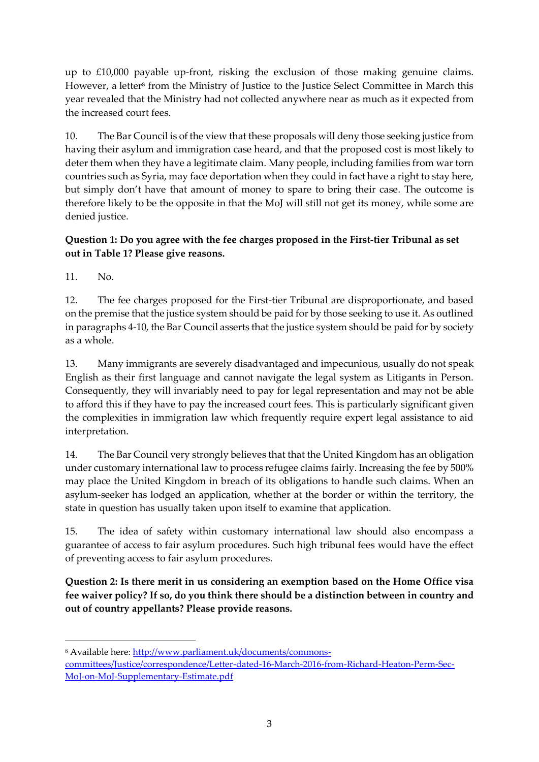up to £10,000 payable up-front, risking the exclusion of those making genuine claims. However, a letter<sup>s</sup> from the Ministry of Justice to the Justice Select Committee in March this year revealed that the Ministry had not collected anywhere near as much as it expected from the increased court fees.

<span id="page-2-0"></span>10. The Bar Council is of the view that these proposals will deny those seeking justice from having their asylum and immigration case heard, and that the proposed cost is most likely to deter them when they have a legitimate claim. Many people, including families from war torn countries such as Syria, may face deportation when they could in fact have a right to stay here, but simply don't have that amount of money to spare to bring their case. The outcome is therefore likely to be the opposite in that the MoJ will still not get its money, while some are denied justice.

## **Question 1: Do you agree with the fee charges proposed in the First-tier Tribunal as set out in Table 1? Please give reasons.**

11. No.

1

12. The fee charges proposed for the First-tier Tribunal are disproportionate, and based on the premise that the justice system should be paid for by those seeking to use it. As outlined in paragraph[s 4](#page-0-0)[-10,](#page-2-0) the Bar Council asserts that the justice system should be paid for by society as a whole.

13. Many immigrants are severely disadvantaged and impecunious, usually do not speak English as their first language and cannot navigate the legal system as Litigants in Person. Consequently, they will invariably need to pay for legal representation and may not be able to afford this if they have to pay the increased court fees. This is particularly significant given the complexities in immigration law which frequently require expert legal assistance to aid interpretation.

14. The Bar Council very strongly believes that that the United Kingdom has an obligation under customary international law to process refugee claims fairly. Increasing the fee by 500% may place the United Kingdom in breach of its obligations to handle such claims. When an asylum-seeker has lodged an application, whether at the border or within the territory, the state in question has usually taken upon itself to examine that application.

15. The idea of safety within customary international law should also encompass a guarantee of access to fair asylum procedures. Such high tribunal fees would have the effect of preventing access to fair asylum procedures.

**Question 2: Is there merit in us considering an exemption based on the Home Office visa fee waiver policy? If so, do you think there should be a distinction between in country and out of country appellants? Please provide reasons.** 

<sup>8</sup> Available here: [http://www.parliament.uk/documents/commons-](http://www.parliament.uk/documents/commons-committees/Justice/correspondence/Letter-dated-16-March-2016-from-Richard-Heaton-Perm-Sec-MoJ-on-MoJ-Supplementary-Estimate.pdf)

[committees/Justice/correspondence/Letter-dated-16-March-2016-from-Richard-Heaton-Perm-Sec-](http://www.parliament.uk/documents/commons-committees/Justice/correspondence/Letter-dated-16-March-2016-from-Richard-Heaton-Perm-Sec-MoJ-on-MoJ-Supplementary-Estimate.pdf)[MoJ-on-MoJ-Supplementary-Estimate.pdf](http://www.parliament.uk/documents/commons-committees/Justice/correspondence/Letter-dated-16-March-2016-from-Richard-Heaton-Perm-Sec-MoJ-on-MoJ-Supplementary-Estimate.pdf)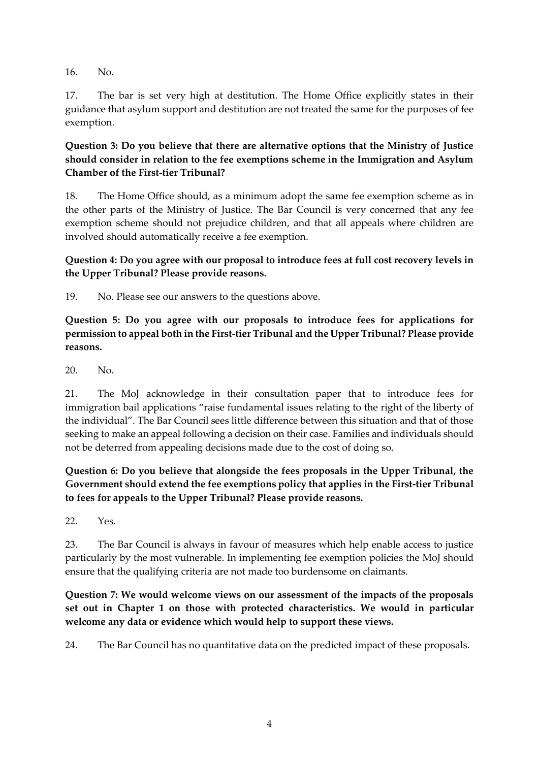16. No.

17. The bar is set very high at destitution. The Home Office explicitly states in their guidance that asylum support and destitution are not treated the same for the purposes of fee exemption.

#### **Question 3: Do you believe that there are alternative options that the Ministry of Justice should consider in relation to the fee exemptions scheme in the Immigration and Asylum Chamber of the First-tier Tribunal?**

18. The Home Office should, as a minimum adopt the same fee exemption scheme as in the other parts of the Ministry of Justice. The Bar Council is very concerned that any fee exemption scheme should not prejudice children, and that all appeals where children are involved should automatically receive a fee exemption.

## **Question 4: Do you agree with our proposal to introduce fees at full cost recovery levels in the Upper Tribunal? Please provide reasons.**

19. No. Please see our answers to the questions above.

**Question 5: Do you agree with our proposals to introduce fees for applications for permission to appeal both in the First-tier Tribunal and the Upper Tribunal? Please provide reasons.** 

20. No.

21. The MoJ acknowledge in their consultation paper that to introduce fees for immigration bail applications "raise fundamental issues relating to the right of the liberty of the individual". The Bar Council sees little difference between this situation and that of those seeking to make an appeal following a decision on their case. Families and individuals should not be deterred from appealing decisions made due to the cost of doing so.

# **Question 6: Do you believe that alongside the fees proposals in the Upper Tribunal, the Government should extend the fee exemptions policy that applies in the First-tier Tribunal to fees for appeals to the Upper Tribunal? Please provide reasons.**

22. Yes.

23. The Bar Council is always in favour of measures which help enable access to justice particularly by the most vulnerable. In implementing fee exemption policies the MoJ should ensure that the qualifying criteria are not made too burdensome on claimants.

**Question 7: We would welcome views on our assessment of the impacts of the proposals set out in Chapter 1 on those with protected characteristics. We would in particular welcome any data or evidence which would help to support these views.**

24. The Bar Council has no quantitative data on the predicted impact of these proposals.